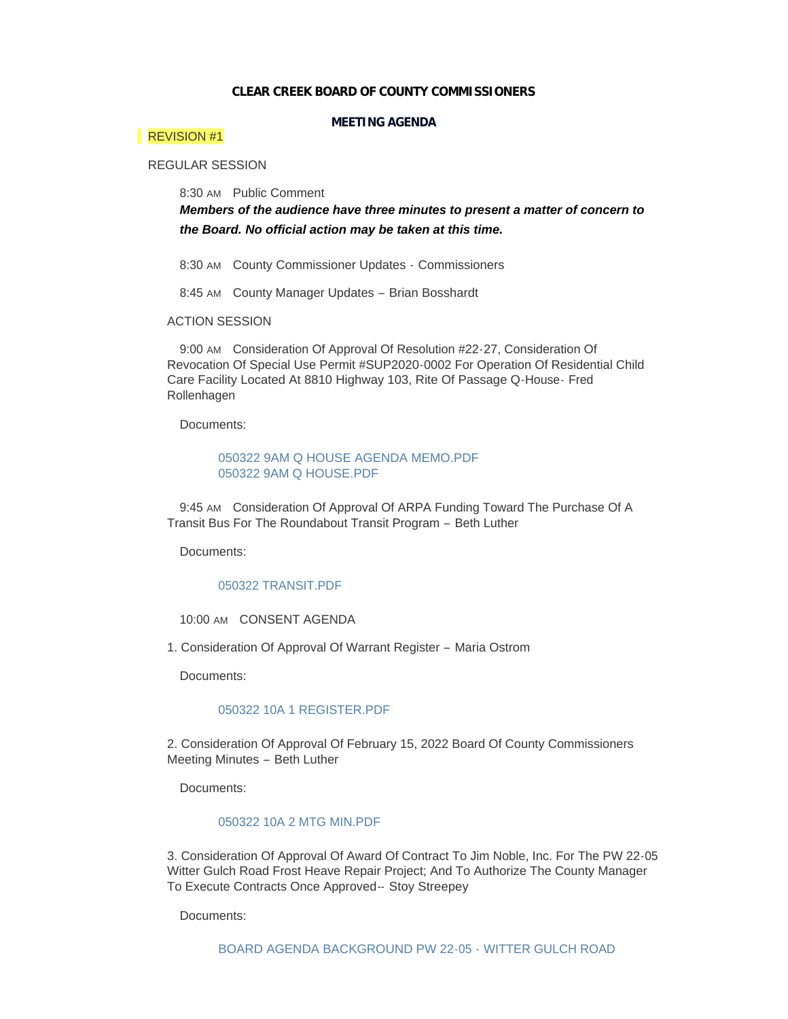### **CLEAR CREEK BOARD OF COUNTY COMMISSIONERS**

## **MEETING AGENDA**

## REVISION #1

# REGULAR SESSION

8:30 AM Public Comment

*Members of the audience have three minutes to present a matter of concern to the Board. No official action may be taken at this time.*

8:30 AM County Commissioner Updates - Commissioners

8:45 AM County Manager Updates - Brian Bosshardt

## ACTION SESSION

9:00 AM Consideration Of Approval Of Resolution #22-27, Consideration Of Revocation Of Special Use Permit #SUP2020-0002 For Operation Of Residential Child Care Facility Located At 8810 Highway 103, Rite Of Passage Q-House- Fred Rollenhagen

Documents:

## [050322 9AM Q HOUSE AGENDA MEMO.PDF](https://www.clearcreekcounty.us/AgendaCenter/ViewFile/Item/6940?fileID=10666) [050322 9AM Q HOUSE.PDF](https://www.clearcreekcounty.us/AgendaCenter/ViewFile/Item/6940?fileID=10667)

9:45 AM Consideration Of Approval Of ARPA Funding Toward The Purchase Of A Transit Bus For The Roundabout Transit Program – Beth Luther

Documents:

### 050322 TRANSIT PDF

10:00 AM CONSENT AGENDA

1. Consideration Of Approval Of Warrant Register – Maria Ostrom

Documents:

### [050322 10A 1 REGISTER.PDF](https://www.clearcreekcounty.us/AgendaCenter/ViewFile/Item/6903?fileID=10610)

2. Consideration Of Approval Of February 15, 2022 Board Of County Commissioners Meeting Minutes – Beth Luther

Documents:

### [050322 10A 2 MTG MIN.PDF](https://www.clearcreekcounty.us/AgendaCenter/ViewFile/Item/6904?fileID=10612)

3. Consideration Of Approval Of Award Of Contract To Jim Noble, Inc. For The PW 22-05 Witter Gulch Road Frost Heave Repair Project; And To Authorize The County Manager To Execute Contracts Once Approved-- Stoy Streepey

Documents: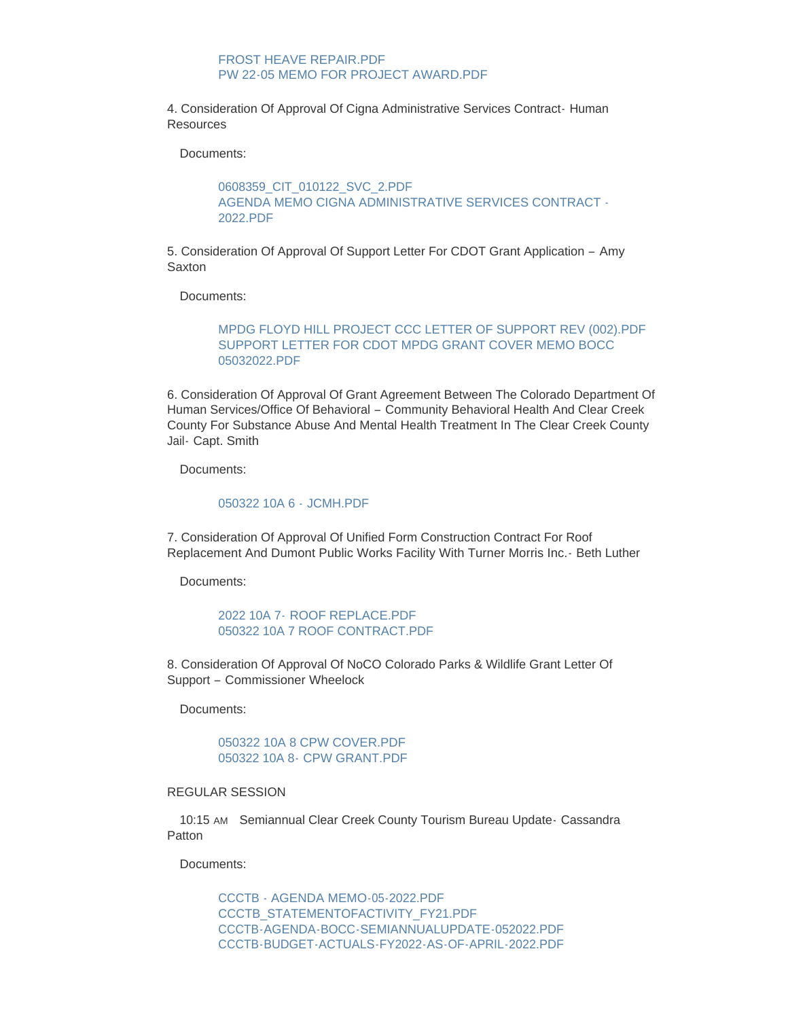## FROST HEAVE REPAIR.PDF [PW 22-05 MEMO FOR PROJECT AWARD.PDF](https://www.clearcreekcounty.us/AgendaCenter/ViewFile/Item/6945?fileID=10672)

4. Consideration Of Approval Of Cigna Administrative Services Contract- Human Resources

Documents:

[0608359\\_CIT\\_010122\\_SVC\\_2.PDF](https://www.clearcreekcounty.us/AgendaCenter/ViewFile/Item/6946?fileID=10673) [AGENDA MEMO CIGNA ADMINISTRATIVE SERVICES CONTRACT -](https://www.clearcreekcounty.us/AgendaCenter/ViewFile/Item/6946?fileID=10674) 2022.PDF

5. Consideration Of Approval Of Support Letter For CDOT Grant Application – Amy **Saxton** 

Documents:

# [MPDG FLOYD HILL PROJECT CCC LETTER OF SUPPORT REV \(002\).PDF](https://www.clearcreekcounty.us/AgendaCenter/ViewFile/Item/6947?fileID=10675) [SUPPORT LETTER FOR CDOT MPDG GRANT COVER MEMO BOCC](https://www.clearcreekcounty.us/AgendaCenter/ViewFile/Item/6947?fileID=10676)  05032022.PDF

6. Consideration Of Approval Of Grant Agreement Between The Colorado Department Of Human Services/Office Of Behavioral – Community Behavioral Health And Clear Creek County For Substance Abuse And Mental Health Treatment In The Clear Creek County Jail- Capt. Smith

Documents:

### [050322 10A 6 -](https://www.clearcreekcounty.us/AgendaCenter/ViewFile/Item/6922?fileID=10644) JCMH.PDF

7. Consideration Of Approval Of Unified Form Construction Contract For Roof Replacement And Dumont Public Works Facility With Turner Morris Inc.- Beth Luther

Documents:

2022 10A 7- [ROOF REPLACE.PDF](https://www.clearcreekcounty.us/AgendaCenter/ViewFile/Item/6923?fileID=10645) [050322 10A 7 ROOF CONTRACT.PDF](https://www.clearcreekcounty.us/AgendaCenter/ViewFile/Item/6923?fileID=10646)

8. Consideration Of Approval Of NoCO Colorado Parks & Wildlife Grant Letter Of Support – Commissioner Wheelock

Documents:

[050322 10A 8 CPW COVER.PDF](https://www.clearcreekcounty.us/AgendaCenter/ViewFile/Item/6951?fileID=10683) 050322 10A 8- [CPW GRANT.PDF](https://www.clearcreekcounty.us/AgendaCenter/ViewFile/Item/6951?fileID=10684)

### REGULAR SESSION

10:15 AM Semiannual Clear Creek County Tourism Bureau Update- Cassandra Patton

Documents:

[CCCTB - AGENDA MEMO-05-2022.PDF](https://www.clearcreekcounty.us/AgendaCenter/ViewFile/Item/6925?fileID=10648) [CCCTB\\_STATEMENTOFACTIVITY\\_FY21.PDF](https://www.clearcreekcounty.us/AgendaCenter/ViewFile/Item/6925?fileID=10649) [CCCTB-AGENDA-BOCC-SEMIANNUALUPDATE-052022.PDF](https://www.clearcreekcounty.us/AgendaCenter/ViewFile/Item/6925?fileID=10650) [CCCTB-BUDGET-ACTUALS-FY2022-AS-OF-APRIL-2022.PDF](https://www.clearcreekcounty.us/AgendaCenter/ViewFile/Item/6925?fileID=10651)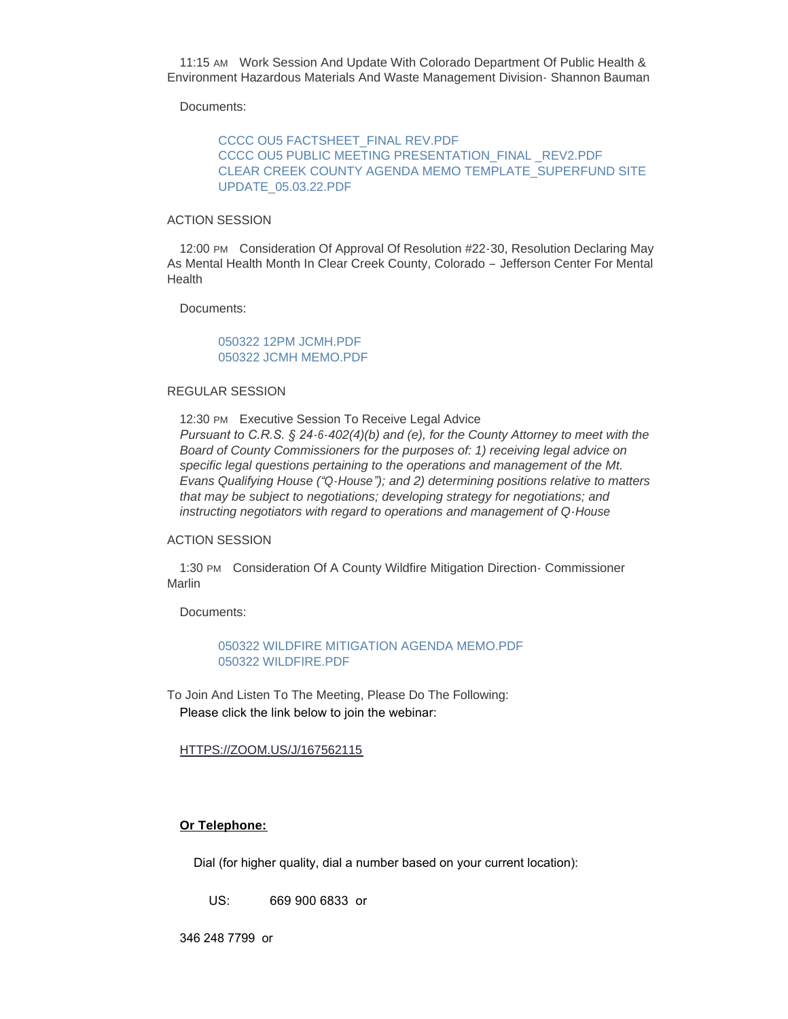11:15 AM Work Session And Update With Colorado Department Of Public Health & Environment Hazardous Materials And Waste Management Division- Shannon Bauman

Documents:

[CCCC OU5 FACTSHEET\\_FINAL REV.PDF](https://www.clearcreekcounty.us/AgendaCenter/ViewFile/Item/6912?fileID=10628) [CCCC OU5 PUBLIC MEETING PRESENTATION\\_FINAL \\_REV2.PDF](https://www.clearcreekcounty.us/AgendaCenter/ViewFile/Item/6912?fileID=10629) [CLEAR CREEK COUNTY AGENDA MEMO TEMPLATE\\_SUPERFUND SITE](https://www.clearcreekcounty.us/AgendaCenter/ViewFile/Item/6912?fileID=10630)  UPDATE\_05.03.22.PDF

### ACTION SESSION

12:00 PM Consideration Of Approval Of Resolution #22-30, Resolution Declaring May As Mental Health Month In Clear Creek County, Colorado – Jefferson Center For Mental **Health** 

Documents:

# [050322 12PM JCMH.PDF](https://www.clearcreekcounty.us/AgendaCenter/ViewFile/Item/6956?fileID=10692) [050322 JCMH MEMO.PDF](https://www.clearcreekcounty.us/AgendaCenter/ViewFile/Item/6956?fileID=10693)

### REGULAR SESSION

12:30 PM Executive Session To Receive Legal Advice *Pursuant to C.R.S. § 24-6-402(4)(b) and (e), for the County Attorney to meet with the Board of County Commissioners for the purposes of: 1) receiving legal advice on specific legal questions pertaining to the operations and management of the Mt. Evans Qualifying House ("Q-House"); and 2) determining positions relative to matters that may be subject to negotiations; developing strategy for negotiations; and instructing negotiators with regard to operations and management of Q-House*

## ACTION SESSION

1:30 PM Consideration Of A County Wildfire Mitigation Direction - Commissioner Marlin

Documents:

[050322 WILDFIRE MITIGATION AGENDA MEMO.PDF](https://www.clearcreekcounty.us/AgendaCenter/ViewFile/Item/6934?fileID=10664) [050322 WILDFIRE.PDF](https://www.clearcreekcounty.us/AgendaCenter/ViewFile/Item/6934?fileID=10665)

To Join And Listen To The Meeting, Please Do The Following: Please click the link below to join the webinar:

## [HTTPS://ZOOM.US/J/167562115](https://zoom.us/j/167562115)

## **Or Telephone:**

Dial (for higher quality, dial a number based on your current location):

US: 669 900 6833 or

346 248 7799 or